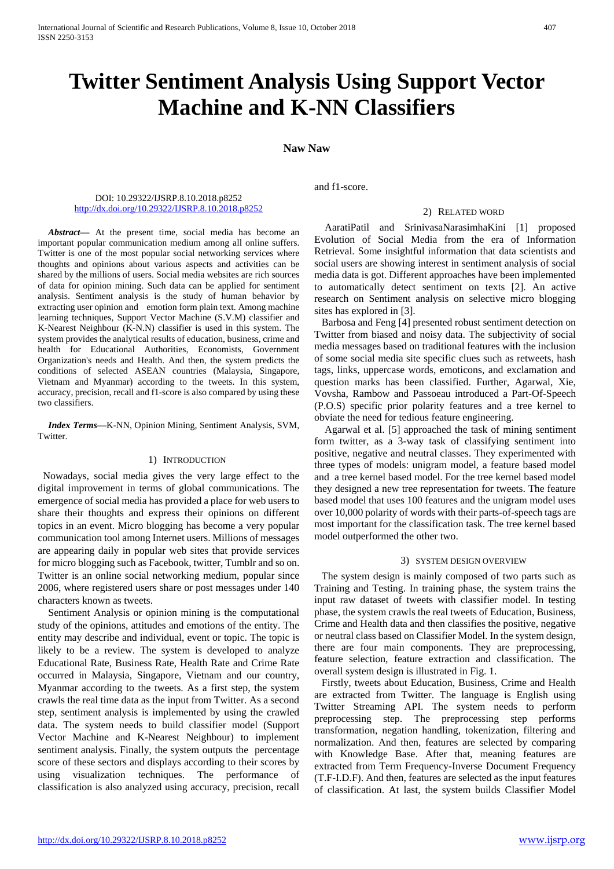# **Twitter Sentiment Analysis Using Support Vector Machine and K-NN Classifiers**

**Naw Naw**

#### DOI: 10.29322/IJSRP.8.10.2018.p8252 <http://dx.doi.org/10.29322/IJSRP.8.10.2018.p8252>

*Abstract***—** At the present time, social media has become an important popular communication medium among all online suffers. Twitter is one of the most popular social networking services where thoughts and opinions about various aspects and activities can be shared by the millions of users. Social media websites are rich sources of data for opinion mining. Such data can be applied for sentiment analysis. Sentiment analysis is the study of human behavior by extracting user opinion and emotion form plain text. Among machine learning techniques, Support Vector Machine (S.V.M) classifier and K-Nearest Neighbour (K-N.N) classifier is used in this system. The system provides the analytical results of education, business, crime and health for Educational Authorities, Economists, Government Organization's needs and Health. And then, the system predicts the conditions of selected ASEAN countries (Malaysia, Singapore, Vietnam and Myanmar) according to the tweets. In this system, accuracy, precision, recall and f1-score is also compared by using these two classifiers.

*Index Terms***—**K-NN, Opinion Mining, Sentiment Analysis, SVM, Twitter.

## 1) INTRODUCTION

 Nowadays, social media gives the very large effect to the digital improvement in terms of global communications. The emergence of social media has provided a place for web users to share their thoughts and express their opinions on different topics in an event. Micro blogging has become a very popular communication tool among Internet users. Millions of messages are appearing daily in popular web sites that provide services for micro blogging such as Facebook, twitter, Tumblr and so on. Twitter is an online social networking medium, popular since 2006, where registered users share or post messages under 140 characters known as tweets.

Sentiment Analysis or opinion mining is the computational study of the opinions, attitudes and emotions of the entity. The entity may describe and individual, event or topic. The topic is likely to be a review. The system is developed to analyze Educational Rate, Business Rate, Health Rate and Crime Rate occurred in Malaysia, Singapore, Vietnam and our country, Myanmar according to the tweets. As a first step, the system crawls the real time data as the input from Twitter. As a second step, sentiment analysis is implemented by using the crawled data. The system needs to build classifier model (Support Vector Machine and K-Nearest Neighbour) to implement sentiment analysis. Finally, the system outputs the percentage score of these sectors and displays according to their scores by using visualization techniques. The performance of classification is also analyzed using accuracy, precision, recall and f1-score.

## 2) RELATED WORD

AaratiPatil and SrinivasaNarasimhaKini [1] proposed Evolution of Social Media from the era of Information Retrieval. Some insightful information that data scientists and social users are showing interest in sentiment analysis of social media data is got. Different approaches have been implemented to automatically detect sentiment on texts [2]. An active research on Sentiment analysis on selective micro blogging sites has explored in [3].

Barbosa and Feng [4] presented robust sentiment detection on Twitter from biased and noisy data. The subjectivity of social media messages based on traditional features with the inclusion of some social media site specific clues such as retweets, hash tags, links, uppercase words, emoticons, and exclamation and question marks has been classified. Further, Agarwal, Xie, Vovsha, Rambow and Passoeau introduced a Part-Of-Speech (P.O.S) specific prior polarity features and a tree kernel to obviate the need for tedious feature engineering.

Agarwal et al. [5] approached the task of mining sentiment form twitter, as a 3-way task of classifying sentiment into positive, negative and neutral classes. They experimented with three types of models: unigram model, a feature based model and a tree kernel based model. For the tree kernel based model they designed a new tree representation for tweets. The feature based model that uses 100 features and the unigram model uses over 10,000 polarity of words with their parts-of-speech tags are most important for the classification task. The tree kernel based model outperformed the other two.

## 3) SYSTEM DESIGN OVERVIEW

The system design is mainly composed of two parts such as Training and Testing. In training phase, the system trains the input raw dataset of tweets with classifier model. In testing phase, the system crawls the real tweets of Education, Business, Crime and Health data and then classifies the positive, negative or neutral class based on Classifier Model. In the system design, there are four main components. They are preprocessing, feature selection, feature extraction and classification. The overall system design is illustrated in Fig. 1.

Firstly, tweets about Education, Business, Crime and Health are extracted from Twitter. The language is English using Twitter Streaming API. The system needs to perform preprocessing step. The preprocessing step performs transformation, negation handling, tokenization, filtering and normalization. And then, features are selected by comparing with Knowledge Base. After that, meaning features are extracted from Term Frequency-Inverse Document Frequency (T.F-I.D.F). And then, features are selected as the input features of classification. At last, the system builds Classifier Model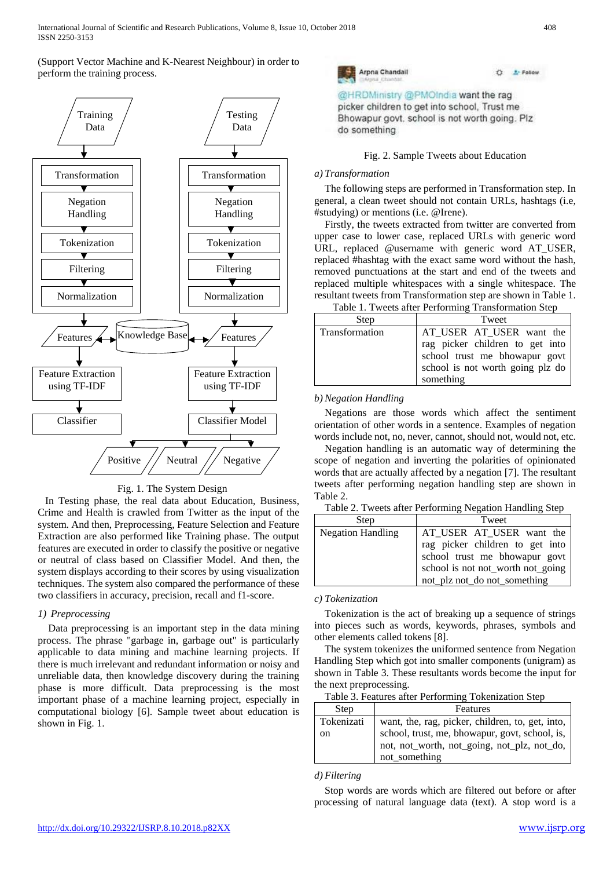(Support Vector Machine and K-Nearest Neighbour) in order to perform the training process.



## Fig. 1. The System Design

In Testing phase, the real data about Education, Business, Crime and Health is crawled from Twitter as the input of the system. And then, Preprocessing, Feature Selection and Feature Extraction are also performed like Training phase. The output features are executed in order to classify the positive or negative or neutral of class based on Classifier Model. And then, the system displays according to their scores by using visualization techniques. The system also compared the performance of these two classifiers in accuracy, precision, recall and f1-score.

## *1) Preprocessing*

Data preprocessing is an important step in the data mining process. The phrase "garbage in, garbage out" is particularly applicable to data mining and machine learning projects. If there is much irrelevant and redundant information or noisy and unreliable data, then knowledge discovery during the training phase is more difficult. Data preprocessing is the most important phase of a machine learning project, especially in computational biology [6]. Sample tweet about education is shown in Fig. 1.



F- Follow

@HRDMinistry @PMOIndia want the rag picker children to get into school, Trust me Bhowapur govt, school is not worth going. Plz do something

## Fig. 2. Sample Tweets about Education

## *a) Transformation*

The following steps are performed in Transformation step. In general, a clean tweet should not contain URLs, hashtags (i.e, #studying) or mentions (i.e. @Irene).

Firstly, the tweets extracted from twitter are converted from upper case to lower case, replaced URLs with generic word URL, replaced @username with generic word AT\_USER, replaced #hashtag with the exact same word without the hash, removed punctuations at the start and end of the tweets and replaced multiple whitespaces with a single whitespace. The resultant tweets from Transformation step are shown in Table 1. Table 1. Tweets after Performing Transformation Step

| Table 1. I weeks after I criticalling Transformation Step |                                                                                                                   |  |
|-----------------------------------------------------------|-------------------------------------------------------------------------------------------------------------------|--|
| Step                                                      | Tweet                                                                                                             |  |
| Transformation                                            | AT_USER AT_USER want the                                                                                          |  |
|                                                           | rag picker children to get into<br>school trust me bhowapur govt<br>school is not worth going plz do<br>something |  |

## *b) Negation Handling*

Negations are those words which affect the sentiment orientation of other words in a sentence. Examples of negation words include not, no, never, cannot, should not, would not, etc.

Negation handling is an automatic way of determining the scope of negation and inverting the polarities of opinionated words that are actually affected by a negation [7]. The resultant tweets after performing negation handling step are shown in Table 2.

| Step                     | Tweet                             |  |
|--------------------------|-----------------------------------|--|
| <b>Negation Handling</b> | AT_USER AT_USER want the          |  |
|                          | rag picker children to get into   |  |
|                          | school trust me bhowapur govt     |  |
|                          | school is not not_worth not_going |  |
|                          | not_plz not_do not_something      |  |

## *c) Tokenization*

Tokenization is the act of breaking up a sequence of strings into pieces such as words, keywords, phrases, symbols and other elements called tokens [8].

The system tokenizes the uniformed sentence from Negation Handling Step which got into smaller components (unigram) as shown in Table 3. These resultants words become the input for the next preprocessing.

Table 3. Features after Performing Tokenization Step

| Step          | Features                                         |  |
|---------------|--------------------------------------------------|--|
| Tokenizati    | want, the, rag, picker, children, to, get, into, |  |
| <sub>on</sub> | school, trust, me, bhowapur, govt, school, is,   |  |
|               | not, not_worth, not_going, not_plz, not_do,      |  |
|               | not_something                                    |  |

*d) Filtering*

Stop words are words which are filtered out before or after processing of natural language data (text). A stop word is a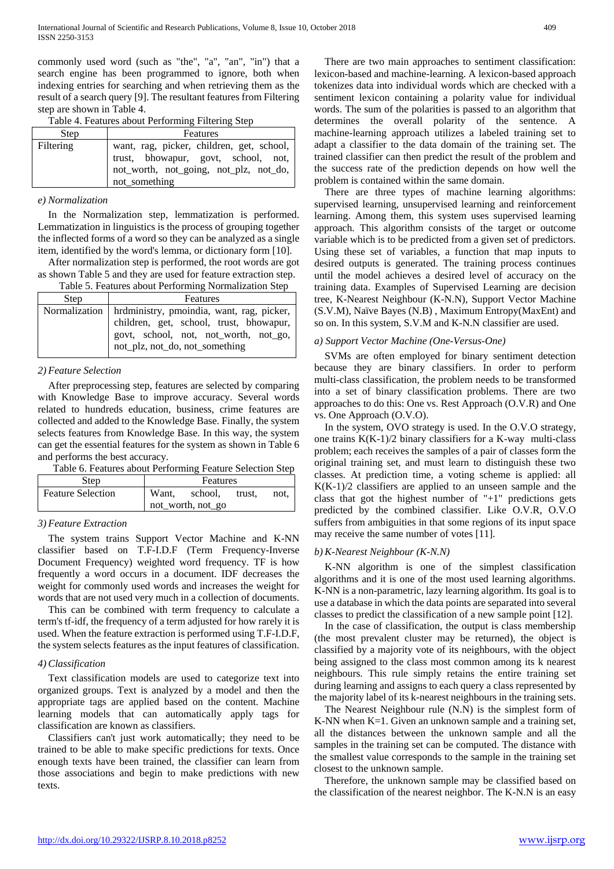commonly used word (such as "the", "a", "an", "in") that a search engine has been programmed to ignore, both when indexing entries for searching and when retrieving them as the result of a search query [9]. The resultant features from Filtering step are shown in Table 4.

Table 4. Features about Performing Filtering Step

| Step      | Features                                                                                                                                    |  |
|-----------|---------------------------------------------------------------------------------------------------------------------------------------------|--|
| Filtering | want, rag, picker, children, get, school,<br>trust, bhowapur, govt, school, not,<br>not_worth, not_going, not_plz, not_do,<br>not_something |  |

## *e) Normalization*

In the Normalization step, lemmatization is performed. Lemmatization in linguistics is the process of grouping together the inflected forms of a word so they can be analyzed as a single item, identified by the word's lemma, or dictionary form [10].

After normalization step is performed, the root words are got as shown Table 5 and they are used for feature extraction step. Table 5. Features about Performing Normalization Step

| Table 5. Features about Ferrorming Normanzation Step |                                                           |  |  |
|------------------------------------------------------|-----------------------------------------------------------|--|--|
| Step                                                 | Features                                                  |  |  |
|                                                      | Normalization   hrdministry, pmoindia, want, rag, picker, |  |  |
|                                                      | children, get, school, trust, bhowapur,                   |  |  |
|                                                      | govt, school, not, not_worth, not_go,                     |  |  |
|                                                      | not_plz, not_do, not_something                            |  |  |

## *2) Feature Selection*

After preprocessing step, features are selected by comparing with Knowledge Base to improve accuracy. Several words related to hundreds education, business, crime features are collected and added to the Knowledge Base. Finally, the system selects features from Knowledge Base. In this way, the system can get the essential features for the system as shown in Table 6 and performs the best accuracy.

|  | Table 6. Features about Performing Feature Selection Step |
|--|-----------------------------------------------------------|
|  |                                                           |

| Step.                    | Features          |         |        |      |
|--------------------------|-------------------|---------|--------|------|
| <b>Feature Selection</b> | Want.             | school. | trust. | not. |
|                          | not_worth, not_go |         |        |      |

# *3) Feature Extraction*

The system trains Support Vector Machine and K-NN classifier based on T.F-I.D.F (Term Frequency-Inverse Document Frequency) weighted word frequency. TF is how frequently a word occurs in a document. IDF decreases the weight for commonly used words and increases the weight for words that are not used very much in a collection of documents.

This can be combined with term frequency to calculate a term's tf-idf, the frequency of a term adjusted for how rarely it is used. When the feature extraction is performed using T.F-I.D.F, the system selects features as the input features of classification.

# *4) Classification*

Text classification models are used to categorize text into organized groups. Text is analyzed by a model and then the appropriate tags are applied based on the content. Machine learning models that can automatically apply tags for classification are known as classifiers.

Classifiers can't just work automatically; they need to be trained to be able to make specific predictions for texts. Once enough texts have been trained, the classifier can learn from those associations and begin to make predictions with new texts.

There are two main approaches to sentiment classification: lexicon-based and machine-learning. A lexicon-based approach tokenizes data into individual words which are checked with a sentiment lexicon containing a polarity value for individual words. The sum of the polarities is passed to an algorithm that determines the overall polarity of the sentence. A machine-learning approach utilizes a labeled training set to adapt a classifier to the data domain of the training set. The trained classifier can then predict the result of the problem and the success rate of the prediction depends on how well the problem is contained within the same domain.

There are three types of machine learning algorithms: supervised learning, unsupervised learning and reinforcement learning. Among them, this system uses supervised learning approach. This algorithm consists of the target or outcome variable which is to be predicted from a given set of predictors. Using these set of variables, a function that map inputs to desired outputs is generated. The training process continues until the model achieves a desired level of accuracy on the training data. Examples of Supervised Learning are decision tree, K-Nearest Neighbour (K-N.N), Support Vector Machine (S.V.M), Naïve Bayes (N.B) , Maximum Entropy(MaxEnt) and so on. In this system, S.V.M and K-N.N classifier are used.

# *a) Support Vector Machine (One-Versus-One)*

SVMs are often employed for binary sentiment detection because they are binary classifiers. In order to perform multi-class classification, the problem needs to be transformed into a set of binary classification problems. There are two approaches to do this: One vs. Rest Approach (O.V.R) and One vs. One Approach (O.V.O).

In the system, OVO strategy is used. In the O.V.O strategy, one trains  $K(K-1)/2$  binary classifiers for a K-way multi-class problem; each receives the samples of a pair of classes form the original training set, and must learn to distinguish these two classes. At prediction time, a voting scheme is applied: all  $K(K-1)/2$  classifiers are applied to an unseen sample and the class that got the highest number of "+1" predictions gets predicted by the combined classifier. Like O.V.R, O.V.O suffers from ambiguities in that some regions of its input space may receive the same number of votes [11].

## *b) K-Nearest Neighbour (K-N.N)*

K-NN algorithm is one of the simplest classification algorithms and it is one of the most used learning algorithms. K-NN is a non-parametric, lazy learning algorithm. Its goal is to use a database in which the data points are separated into several classes to predict the classification of a new sample point [12].

In the case of classification, the output is class membership (the most prevalent cluster may be returned), the object is classified by a majority vote of its neighbours, with the object being assigned to the class most common among its k nearest neighbours. This rule simply retains the entire training set during learning and assigns to each query a class represented by the majority label of its k-nearest neighbours in the training sets.

The Nearest Neighbour rule (N.N) is the simplest form of K-NN when  $K=1$ . Given an unknown sample and a training set, all the distances between the unknown sample and all the samples in the training set can be computed. The distance with the smallest value corresponds to the sample in the training set closest to the unknown sample.

Therefore, the unknown sample may be classified based on the classification of the nearest neighbor. The K-N.N is an easy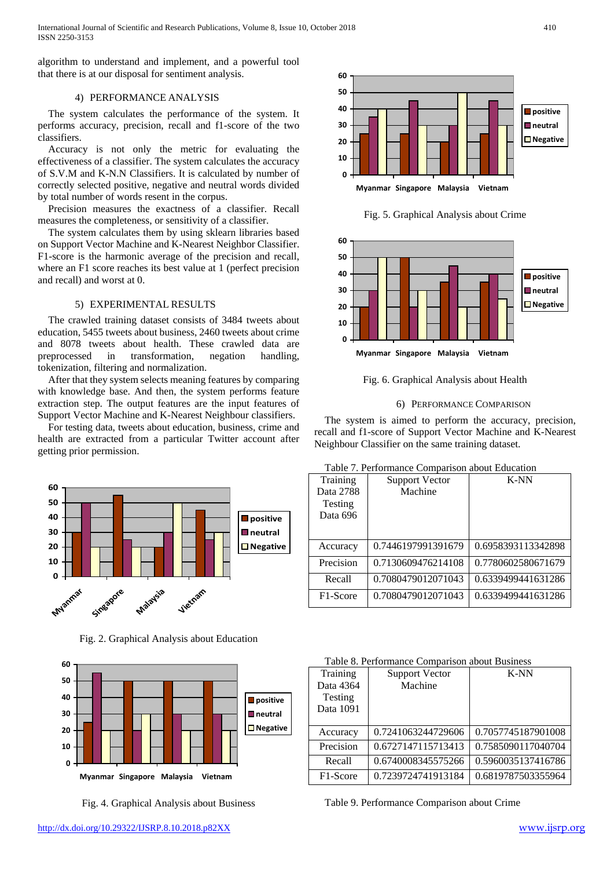International Journal of Scientific and Research Publications, Volume 8, Issue 10, October 2018 410 ISSN 2250-3153

algorithm to understand and implement, and a powerful tool that there is at our disposal for sentiment analysis.

## 4) PERFORMANCE ANALYSIS

The system calculates the performance of the system. It performs accuracy, precision, recall and f1-score of the two classifiers.

Accuracy is not only the metric for evaluating the effectiveness of a classifier. The system calculates the accuracy of S.V.M and K-N.N Classifiers. It is calculated by number of correctly selected positive, negative and neutral words divided by total number of words resent in the corpus.

Precision measures the exactness of a classifier. Recall measures the completeness, or sensitivity of a classifier.

The system calculates them by using sklearn libraries based on Support Vector Machine and K-Nearest Neighbor Classifier. F1-score is the harmonic average of the precision and recall, where an F1 score reaches its best value at 1 (perfect precision and recall) and worst at 0.

## 5) EXPERIMENTAL RESULTS

The crawled training dataset consists of 3484 tweets about education, 5455 tweets about business, 2460 tweets about crime and 8078 tweets about health. These crawled data are preprocessed in transformation, negation handling, tokenization, filtering and normalization.

After that they system selects meaning features by comparing with knowledge base. And then, the system performs feature extraction step. The output features are the input features of Support Vector Machine and K-Nearest Neighbour classifiers.

For testing data, tweets about education, business, crime and health are extracted from a particular Twitter account after getting prior permission.



Fig. 2. Graphical Analysis about Education



Fig. 4. Graphical Analysis about Business



Fig. 5. Graphical Analysis about Crime



Fig. 6. Graphical Analysis about Health

## 6) PERFORMANCE COMPARISON

The system is aimed to perform the accuracy, precision, recall and f1-score of Support Vector Machine and K-Nearest Neighbour Classifier on the same training dataset.

| Training<br>Data 2788<br>Testing<br>Data 696 | <b>Support Vector</b><br>Machine | K-NN               |
|----------------------------------------------|----------------------------------|--------------------|
| Accuracy                                     | 0.7446197991391679               | 0.6958393113342898 |
| Precision                                    | 0.7130609476214108               | 0.7780602580671679 |
| Recall                                       | 0.7080479012071043               | 0.6339499441631286 |
| F <sub>1</sub> -Score                        | 0.7080479012071043               | 0.6339499441631286 |

#### Table 7. Performance Comparison about Education

| Table 8. Performance Comparison about Business |
|------------------------------------------------|
|------------------------------------------------|

| Training<br>Data 4364<br>Testing<br>Data 1091 | <b>Support Vector</b><br>Machine | $K-NN$             |
|-----------------------------------------------|----------------------------------|--------------------|
| Accuracy                                      | 0.7241063244729606               | 0.7057745187901008 |
| Precision                                     | 0.6727147115713413               | 0.7585090117040704 |
| Recall                                        | 0.6740008345575266               | 0.5960035137416786 |
| F <sub>1</sub> -Score                         | 0.7239724741913184               | 0.6819787503355964 |

Table 9. Performance Comparison about Crime